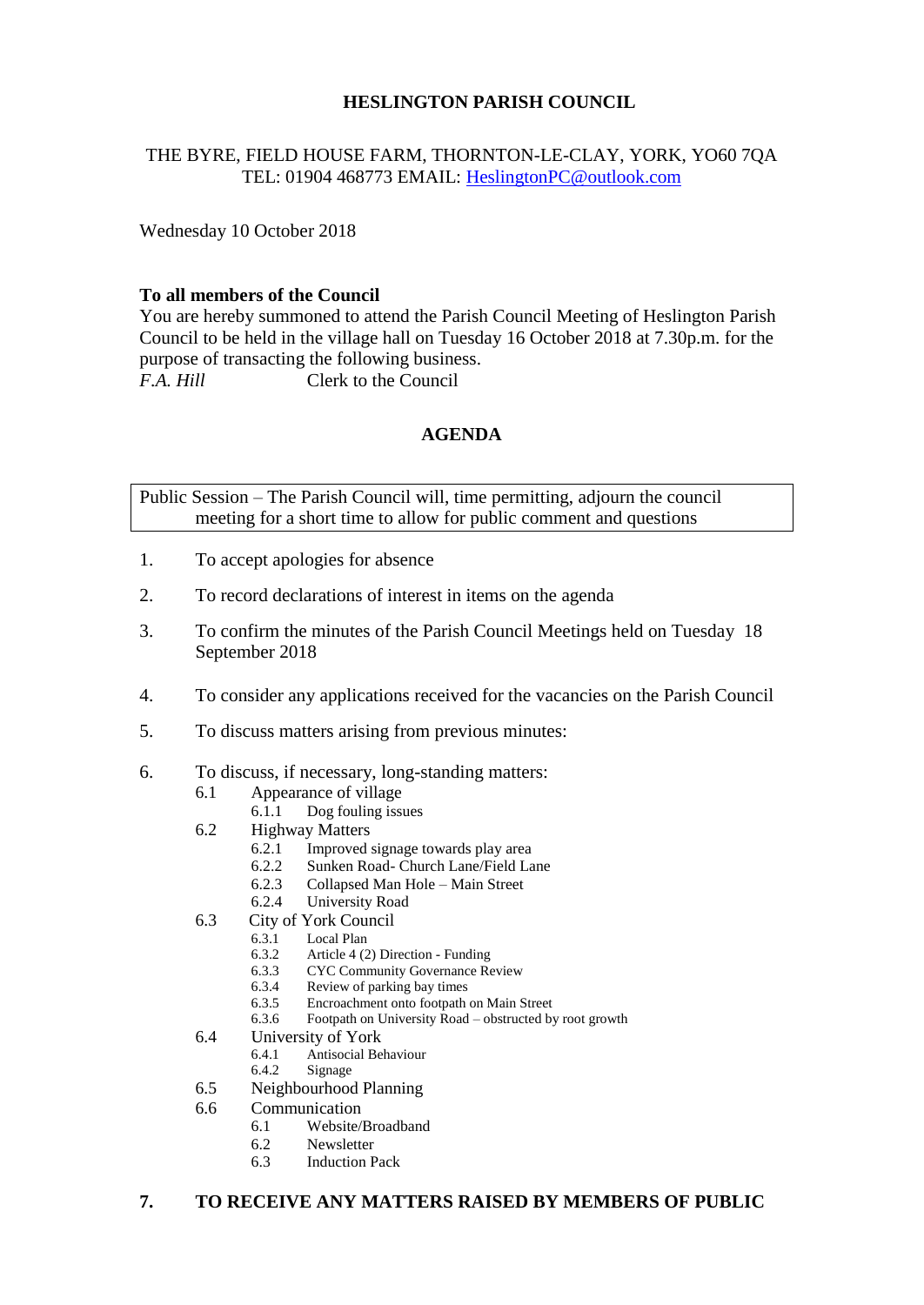# **HESLINGTON PARISH COUNCIL**

# THE BYRE, FIELD HOUSE FARM, THORNTON-LE-CLAY, YORK, YO60 7QA TEL: 01904 468773 EMAIL: [HeslingtonPC@outlook.com](mailto:HeslingtonPC@outlook.com)

Wednesday 10 October 2018

### **To all members of the Council**

You are hereby summoned to attend the Parish Council Meeting of Heslington Parish Council to be held in the village hall on Tuesday 16 October 2018 at 7.30p.m. for the purpose of transacting the following business. *F.A. Hill* Clerk to the Council

## **AGENDA**

Public Session – The Parish Council will, time permitting, adjourn the council meeting for a short time to allow for public comment and questions

- 1. To accept apologies for absence
- 2. To record declarations of interest in items on the agenda
- 3. To confirm the minutes of the Parish Council Meetings held on Tuesday 18 September 2018
- 4. To consider any applications received for the vacancies on the Parish Council
- 5. To discuss matters arising from previous minutes:
- 6. To discuss, if necessary, long-standing matters:
	- 6.1 Appearance of village
		- 6.1.1 Dog fouling issues
	- 6.2 Highway Matters
		- 6.2.1 Improved signage towards play area
		- 6.2.2 Sunken Road- Church Lane/Field Lane
		- 6.2.3 Collapsed Man Hole Main Street
		- 6.2.4 University Road
	- 6.3 City of York Council
		- 6.3.1 Local Plan
			- 6.3.2 Article 4 (2) Direction Funding<br>6.3.3 CYC Community Governance Re
			- **CYC Community Governance Review**
			- 6.3.4 Review of parking bay times
			- 6.3.5 Encroachment onto footpath on Main Street
		- 6.3.6 Footpath on University Road obstructed by root growth
	- 6.4 University of York<br>6.4.1 Antisocial Be
		- 6.4.1 Antisocial Behaviour
			- 6.4.2 Signage
	- 6.5 Neighbourhood Planning
	- 6.6 Communication
		- 6.1 Website/Broadband
		- 6.2 Newsletter
		- 6.3 Induction Pack

#### **7. TO RECEIVE ANY MATTERS RAISED BY MEMBERS OF PUBLIC**